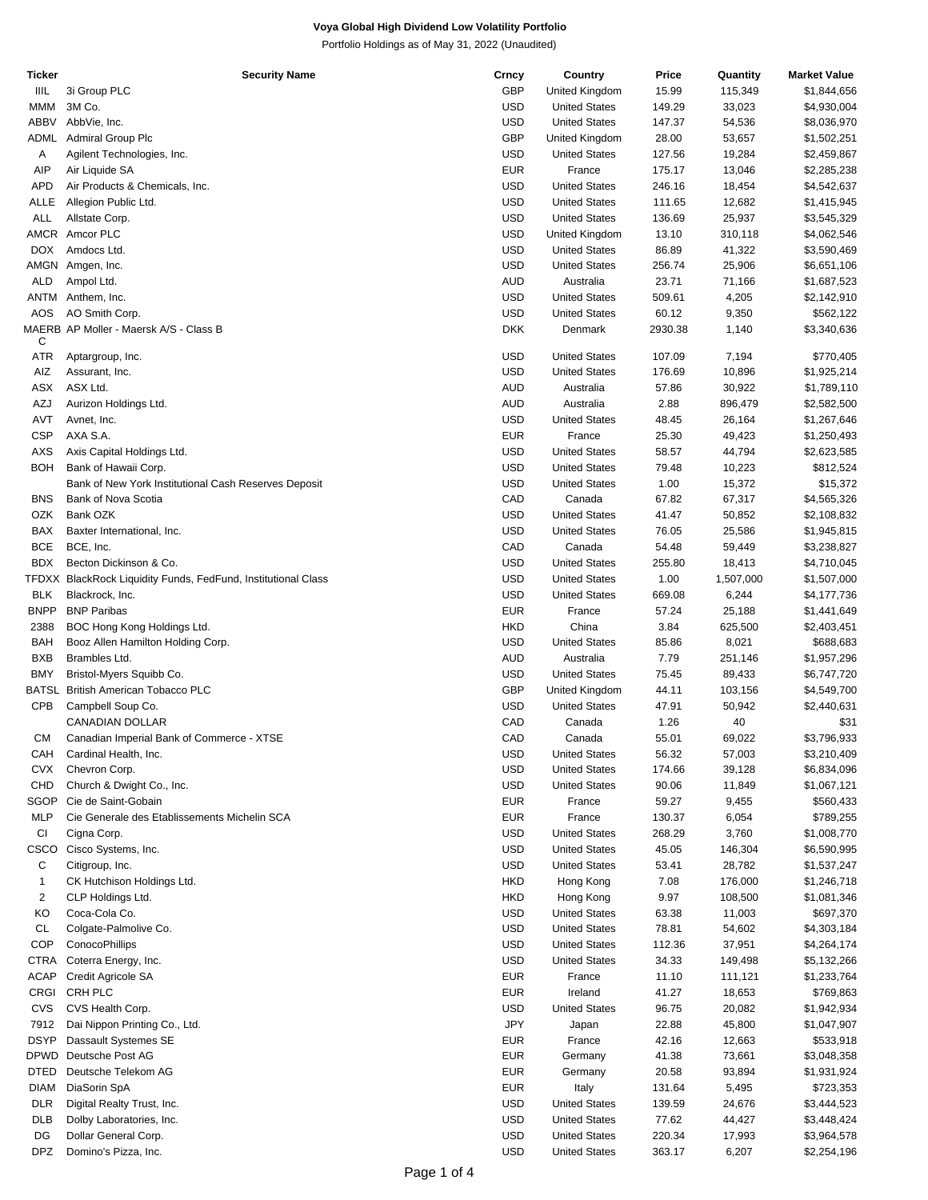Portfolio Holdings as of May 31, 2022 (Unaudited)

| Ticker      | <b>Security Name</b>                                          | Crncy      | Country              | Price   | Quantity  | <b>Market Value</b> |
|-------------|---------------------------------------------------------------|------------|----------------------|---------|-----------|---------------------|
| IIIL        | 3i Group PLC                                                  | GBP        | United Kingdom       | 15.99   | 115,349   | \$1,844,656         |
| <b>MMM</b>  | 3M Co.                                                        | <b>USD</b> | <b>United States</b> | 149.29  | 33,023    | \$4,930,004         |
| ABBV        | AbbVie, Inc.                                                  | <b>USD</b> | <b>United States</b> | 147.37  | 54,536    | \$8,036,970         |
|             |                                                               | GBP        |                      |         |           |                     |
| ADML        | Admiral Group Plc                                             |            | United Kingdom       | 28.00   | 53,657    | \$1,502,251         |
| Α           | Agilent Technologies, Inc.                                    | <b>USD</b> | <b>United States</b> | 127.56  | 19,284    | \$2,459,867         |
| AIP         | Air Liquide SA                                                | <b>EUR</b> | France               | 175.17  | 13,046    | \$2,285,238         |
| <b>APD</b>  | Air Products & Chemicals, Inc.                                | <b>USD</b> | <b>United States</b> | 246.16  | 18,454    | \$4,542,637         |
| ALLE        | Allegion Public Ltd.                                          | <b>USD</b> | <b>United States</b> | 111.65  | 12,682    | \$1,415,945         |
| ALL         | Allstate Corp.                                                | <b>USD</b> | <b>United States</b> | 136.69  | 25,937    | \$3,545,329         |
|             | AMCR Amcor PLC                                                | <b>USD</b> | United Kingdom       | 13.10   | 310,118   | \$4,062,546         |
|             |                                                               |            |                      |         |           |                     |
| <b>DOX</b>  | Amdocs Ltd.                                                   | <b>USD</b> | <b>United States</b> | 86.89   | 41,322    | \$3,590,469         |
|             | AMGN Amgen, Inc.                                              | <b>USD</b> | <b>United States</b> | 256.74  | 25,906    | \$6,651,106         |
| <b>ALD</b>  | Ampol Ltd.                                                    | <b>AUD</b> | Australia            | 23.71   | 71,166    | \$1,687,523         |
| ANTM        | Anthem, Inc.                                                  | <b>USD</b> | <b>United States</b> | 509.61  | 4,205     | \$2,142,910         |
| <b>AOS</b>  | AO Smith Corp.                                                | <b>USD</b> | <b>United States</b> | 60.12   | 9,350     | \$562,122           |
|             | MAERB AP Moller - Maersk A/S - Class B                        | <b>DKK</b> | Denmark              | 2930.38 | 1,140     | \$3,340,636         |
| С           |                                                               |            |                      |         |           |                     |
| <b>ATR</b>  | Aptargroup, Inc.                                              | <b>USD</b> | <b>United States</b> | 107.09  | 7,194     | \$770,405           |
| AIZ         |                                                               | <b>USD</b> |                      | 176.69  |           |                     |
|             | Assurant, Inc.                                                |            | <b>United States</b> |         | 10,896    | \$1,925,214         |
| ASX         | ASX Ltd.                                                      | AUD        | Australia            | 57.86   | 30,922    | \$1,789,110         |
| AZJ         | Aurizon Holdings Ltd.                                         | <b>AUD</b> | Australia            | 2.88    | 896,479   | \$2,582,500         |
| <b>AVT</b>  | Avnet, Inc.                                                   | <b>USD</b> | <b>United States</b> | 48.45   | 26,164    | \$1,267,646         |
| <b>CSP</b>  | AXA S.A.                                                      | <b>EUR</b> | France               | 25.30   | 49,423    | \$1,250,493         |
| AXS         | Axis Capital Holdings Ltd.                                    | <b>USD</b> | <b>United States</b> | 58.57   | 44,794    | \$2,623,585         |
|             |                                                               |            |                      |         |           |                     |
| <b>BOH</b>  | Bank of Hawaii Corp.                                          | <b>USD</b> | <b>United States</b> | 79.48   | 10,223    | \$812,524           |
|             | Bank of New York Institutional Cash Reserves Deposit          | <b>USD</b> | <b>United States</b> | 1.00    | 15,372    | \$15,372            |
| <b>BNS</b>  | Bank of Nova Scotia                                           | CAD        | Canada               | 67.82   | 67,317    | \$4,565,326         |
| OZK         | Bank OZK                                                      | <b>USD</b> | <b>United States</b> | 41.47   | 50,852    | \$2,108,832         |
| BAX         | Baxter International, Inc.                                    | <b>USD</b> | <b>United States</b> | 76.05   | 25,586    | \$1,945,815         |
| <b>BCE</b>  | BCE, Inc.                                                     | CAD        | Canada               | 54.48   | 59,449    | \$3,238,827         |
| <b>BDX</b>  |                                                               | <b>USD</b> |                      |         |           |                     |
|             | Becton Dickinson & Co.                                        |            | <b>United States</b> | 255.80  | 18,413    | \$4,710,045         |
|             | TFDXX BlackRock Liquidity Funds, FedFund, Institutional Class | <b>USD</b> | <b>United States</b> | 1.00    | 1,507,000 | \$1,507,000         |
| <b>BLK</b>  | Blackrock, Inc.                                               | <b>USD</b> | <b>United States</b> | 669.08  | 6,244     | \$4,177,736         |
| <b>BNPP</b> | <b>BNP Paribas</b>                                            | <b>EUR</b> | France               | 57.24   | 25,188    | \$1,441,649         |
| 2388        | BOC Hong Kong Holdings Ltd.                                   | <b>HKD</b> | China                | 3.84    | 625,500   | \$2,403,451         |
| BAH         | Booz Allen Hamilton Holding Corp.                             | <b>USD</b> | <b>United States</b> | 85.86   | 8,021     | \$688,683           |
|             |                                                               |            |                      |         |           |                     |
| <b>BXB</b>  | Brambles Ltd.                                                 | <b>AUD</b> | Australia            | 7.79    | 251,146   | \$1,957,296         |
| <b>BMY</b>  | Bristol-Myers Squibb Co.                                      | <b>USD</b> | <b>United States</b> | 75.45   | 89,433    | \$6,747,720         |
|             | BATSL British American Tobacco PLC                            | GBP        | United Kingdom       | 44.11   | 103,156   | \$4,549,700         |
| <b>CPB</b>  | Campbell Soup Co.                                             | <b>USD</b> | <b>United States</b> | 47.91   | 50,942    | \$2,440,631         |
|             | <b>CANADIAN DOLLAR</b>                                        | CAD        | Canada               | 1.26    | 40        | \$31                |
| CМ          | Canadian Imperial Bank of Commerce - XTSE                     | CAD        | Canada               | 55.01   | 69,022    | \$3,796,933         |
|             |                                                               |            |                      |         |           |                     |
| CAH         | Cardinal Health, Inc.                                         | USD        | <b>United States</b> | 56.32   | 57,003    | \$3,210,409         |
| <b>CVX</b>  | Chevron Corp.                                                 | <b>USD</b> | <b>United States</b> | 174.66  | 39,128    | \$6,834,096         |
| CHD         | Church & Dwight Co., Inc.                                     | <b>USD</b> | <b>United States</b> | 90.06   | 11,849    | \$1,067,121         |
| SGOP        | Cie de Saint-Gobain                                           | <b>EUR</b> | France               | 59.27   | 9,455     | \$560,433           |
| <b>MLP</b>  | Cie Generale des Etablissements Michelin SCA                  | <b>EUR</b> | France               | 130.37  | 6,054     | \$789,255           |
| CI          | Cigna Corp.                                                   | <b>USD</b> | <b>United States</b> | 268.29  | 3,760     | \$1,008,770         |
|             |                                                               |            |                      |         |           |                     |
| CSCO        | Cisco Systems, Inc.                                           | <b>USD</b> | <b>United States</b> | 45.05   | 146,304   | \$6,590,995         |
| С           | Citigroup, Inc.                                               | <b>USD</b> | <b>United States</b> | 53.41   | 28,782    | \$1,537,247         |
| 1           | CK Hutchison Holdings Ltd.                                    | <b>HKD</b> | Hong Kong            | 7.08    | 176,000   | \$1,246,718         |
| 2           | CLP Holdings Ltd.                                             | <b>HKD</b> | Hong Kong            | 9.97    | 108,500   | \$1,081,346         |
| KO          | Coca-Cola Co.                                                 | <b>USD</b> | <b>United States</b> | 63.38   | 11,003    | \$697,370           |
| <b>CL</b>   | Colgate-Palmolive Co.                                         | <b>USD</b> |                      | 78.81   |           |                     |
|             |                                                               |            | <b>United States</b> |         | 54,602    | \$4,303,184         |
| <b>COP</b>  | ConocoPhillips                                                | <b>USD</b> | <b>United States</b> | 112.36  | 37,951    | \$4,264,174         |
| CTRA        | Coterra Energy, Inc.                                          | <b>USD</b> | <b>United States</b> | 34.33   | 149,498   | \$5,132,266         |
| <b>ACAP</b> | Credit Agricole SA                                            | <b>EUR</b> | France               | 11.10   | 111,121   | \$1,233,764         |
| CRGI        | CRH PLC                                                       | <b>EUR</b> | Ireland              | 41.27   | 18,653    | \$769,863           |
| CVS         | CVS Health Corp.                                              | <b>USD</b> | <b>United States</b> | 96.75   | 20,082    | \$1,942,934         |
|             |                                                               |            |                      |         |           |                     |
| 7912        | Dai Nippon Printing Co., Ltd.                                 | <b>JPY</b> | Japan                | 22.88   | 45,800    | \$1,047,907         |
| <b>DSYP</b> | Dassault Systemes SE                                          | <b>EUR</b> | France               | 42.16   | 12,663    | \$533,918           |
| <b>DPWD</b> | Deutsche Post AG                                              | <b>EUR</b> | Germany              | 41.38   | 73,661    | \$3,048,358         |
| <b>DTED</b> | Deutsche Telekom AG                                           | <b>EUR</b> | Germany              | 20.58   | 93,894    | \$1,931,924         |
| <b>DIAM</b> | DiaSorin SpA                                                  | <b>EUR</b> | Italy                | 131.64  | 5,495     | \$723,353           |
| <b>DLR</b>  |                                                               | <b>USD</b> | <b>United States</b> | 139.59  |           |                     |
|             | Digital Realty Trust, Inc.                                    |            |                      |         | 24,676    | \$3,444,523         |
| <b>DLB</b>  | Dolby Laboratories, Inc.                                      | <b>USD</b> | <b>United States</b> | 77.62   | 44,427    | \$3,448,424         |
| DG          | Dollar General Corp.                                          | <b>USD</b> | <b>United States</b> | 220.34  | 17,993    | \$3,964,578         |
| <b>DPZ</b>  | Domino's Pizza, Inc.                                          | <b>USD</b> | <b>United States</b> | 363.17  | 6,207     | \$2,254,196         |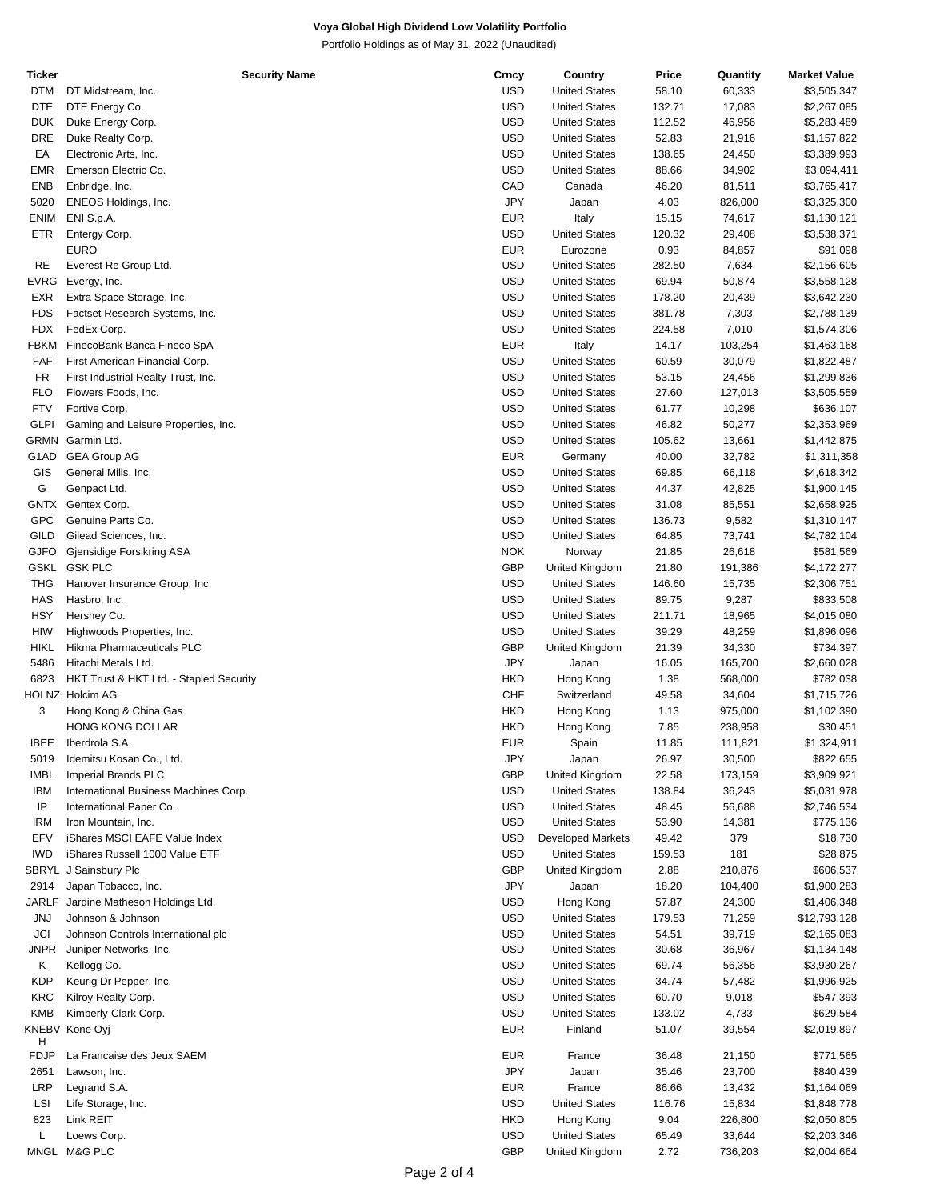Portfolio Holdings as of May 31, 2022 (Unaudited)

| Ticker      | <b>Security Name</b>                    | Crncy      | Country                  | Price  | Quantity | <b>Market Value</b> |
|-------------|-----------------------------------------|------------|--------------------------|--------|----------|---------------------|
| <b>DTM</b>  | DT Midstream, Inc.                      | <b>USD</b> | <b>United States</b>     | 58.10  | 60,333   | \$3,505,347         |
| <b>DTE</b>  | DTE Energy Co.                          | <b>USD</b> | <b>United States</b>     | 132.71 | 17,083   | \$2,267,085         |
| <b>DUK</b>  | Duke Energy Corp.                       | <b>USD</b> | <b>United States</b>     | 112.52 | 46,956   | \$5,283,489         |
|             |                                         |            |                          |        |          |                     |
| DRE         | Duke Realty Corp.                       | <b>USD</b> | <b>United States</b>     | 52.83  | 21,916   | \$1,157,822         |
| EA          | Electronic Arts, Inc.                   | <b>USD</b> | <b>United States</b>     | 138.65 | 24,450   | \$3,389,993         |
| EMR         | Emerson Electric Co.                    | <b>USD</b> | <b>United States</b>     | 88.66  | 34,902   | \$3,094,411         |
| ENB         | Enbridge, Inc.                          | CAD        | Canada                   | 46.20  | 81,511   | \$3,765,417         |
| 5020        | ENEOS Holdings, Inc.                    | <b>JPY</b> | Japan                    | 4.03   | 826,000  | \$3,325,300         |
| ENIM        | ENI S.p.A.                              | <b>EUR</b> | Italy                    | 15.15  | 74,617   | \$1,130,121         |
| ETR         | Entergy Corp.                           | <b>USD</b> | <b>United States</b>     | 120.32 | 29,408   | \$3,538,371         |
|             |                                         |            |                          |        |          |                     |
|             | <b>EURO</b>                             | <b>EUR</b> | Eurozone                 | 0.93   | 84,857   | \$91,098            |
| RE          | Everest Re Group Ltd.                   | <b>USD</b> | <b>United States</b>     | 282.50 | 7,634    | \$2,156,605         |
| EVRG        | Evergy, Inc.                            | <b>USD</b> | <b>United States</b>     | 69.94  | 50,874   | \$3,558,128         |
| EXR         | Extra Space Storage, Inc.               | <b>USD</b> | <b>United States</b>     | 178.20 | 20,439   | \$3,642,230         |
| <b>FDS</b>  | Factset Research Systems, Inc.          | <b>USD</b> | <b>United States</b>     | 381.78 | 7,303    | \$2,788,139         |
| FDX         | FedEx Corp.                             | <b>USD</b> | <b>United States</b>     | 224.58 | 7,010    | \$1,574,306         |
| FBKM        |                                         | <b>EUR</b> |                          |        |          |                     |
|             | FinecoBank Banca Fineco SpA             |            | Italy                    | 14.17  | 103,254  | \$1,463,168         |
| FAF         | First American Financial Corp.          | <b>USD</b> | <b>United States</b>     | 60.59  | 30,079   | \$1,822,487         |
| FR          | First Industrial Realty Trust, Inc.     | <b>USD</b> | <b>United States</b>     | 53.15  | 24,456   | \$1,299,836         |
| <b>FLO</b>  | Flowers Foods, Inc.                     | <b>USD</b> | <b>United States</b>     | 27.60  | 127,013  | \$3,505,559         |
| <b>FTV</b>  | Fortive Corp.                           | <b>USD</b> | <b>United States</b>     | 61.77  | 10,298   | \$636,107           |
| <b>GLPI</b> | Gaming and Leisure Properties, Inc.     | <b>USD</b> | <b>United States</b>     | 46.82  | 50,277   | \$2,353,969         |
| GRMN        | Garmin Ltd.                             | <b>USD</b> | <b>United States</b>     | 105.62 | 13,661   | \$1,442,875         |
|             |                                         |            |                          |        |          |                     |
| G1AD        | <b>GEA Group AG</b>                     | <b>EUR</b> | Germany                  | 40.00  | 32,782   | \$1,311,358         |
| GIS         | General Mills, Inc.                     | <b>USD</b> | <b>United States</b>     | 69.85  | 66,118   | \$4,618,342         |
| G           | Genpact Ltd.                            | <b>USD</b> | <b>United States</b>     | 44.37  | 42,825   | \$1,900,145         |
| GNTX        | Gentex Corp.                            | <b>USD</b> | <b>United States</b>     | 31.08  | 85,551   | \$2,658,925         |
| <b>GPC</b>  | Genuine Parts Co.                       | <b>USD</b> | <b>United States</b>     | 136.73 | 9,582    | \$1,310,147         |
| GILD        | Gilead Sciences, Inc.                   | <b>USD</b> | <b>United States</b>     | 64.85  | 73,741   | \$4,782,104         |
| <b>GJFO</b> |                                         | <b>NOK</b> |                          |        | 26,618   | \$581,569           |
|             | Gjensidige Forsikring ASA               |            | Norway                   | 21.85  |          |                     |
| <b>GSKL</b> | <b>GSK PLC</b>                          | GBP        | United Kingdom           | 21.80  | 191,386  | \$4,172,277         |
| THG         | Hanover Insurance Group, Inc.           | <b>USD</b> | <b>United States</b>     | 146.60 | 15,735   | \$2,306,751         |
| <b>HAS</b>  | Hasbro, Inc.                            | <b>USD</b> | <b>United States</b>     | 89.75  | 9,287    | \$833,508           |
| <b>HSY</b>  | Hershey Co.                             | <b>USD</b> | <b>United States</b>     | 211.71 | 18,965   | \$4,015,080         |
| HIW         | Highwoods Properties, Inc.              | <b>USD</b> | <b>United States</b>     | 39.29  | 48,259   | \$1,896,096         |
| <b>HIKL</b> | Hikma Pharmaceuticals PLC               | GBP        | United Kingdom           | 21.39  | 34,330   | \$734,397           |
|             |                                         |            |                          |        |          |                     |
| 5486        | Hitachi Metals Ltd.                     | <b>JPY</b> | Japan                    | 16.05  | 165,700  | \$2,660,028         |
| 6823        | HKT Trust & HKT Ltd. - Stapled Security | HKD        | Hong Kong                | 1.38   | 568,000  | \$782,038           |
|             | <b>HOLNZ Holcim AG</b>                  | <b>CHF</b> | Switzerland              | 49.58  | 34,604   | \$1,715,726         |
| 3           | Hong Kong & China Gas                   | <b>HKD</b> | Hong Kong                | 1.13   | 975,000  | \$1,102,390         |
|             | HONG KONG DOLLAR                        | <b>HKD</b> | Hong Kong                | 7.85   | 238,958  | \$30,451            |
| <b>IBEE</b> | Iberdrola S.A.                          | <b>EUR</b> | Spain                    | 11.85  | 111,821  | \$1,324,911         |
| 5019        | Idemitsu Kosan Co., Ltd.                | <b>JPY</b> | Japan                    | 26.97  | 30,500   | \$822,655           |
|             |                                         |            |                          |        |          |                     |
| <b>IMBL</b> | Imperial Brands PLC                     | <b>GBP</b> | United Kingdom           | 22.58  | 173,159  | \$3,909,921         |
| <b>IBM</b>  | International Business Machines Corp.   | <b>USD</b> | <b>United States</b>     | 138.84 | 36,243   | \$5,031,978         |
| ΙP          | International Paper Co.                 | <b>USD</b> | <b>United States</b>     | 48.45  | 56,688   | \$2,746,534         |
| <b>IRM</b>  | Iron Mountain, Inc.                     | <b>USD</b> | <b>United States</b>     | 53.90  | 14,381   | \$775,136           |
| EFV         | iShares MSCI EAFE Value Index           | <b>USD</b> | <b>Developed Markets</b> | 49.42  | 379      | \$18,730            |
| <b>IWD</b>  | iShares Russell 1000 Value ETF          | <b>USD</b> | <b>United States</b>     | 159.53 | 181      | \$28,875            |
|             |                                         |            |                          |        |          |                     |
|             | SBRYL J Sainsbury Plc                   | GBP        | United Kingdom           | 2.88   | 210,876  | \$606,537           |
| 2914        | Japan Tobacco, Inc.                     | <b>JPY</b> | Japan                    | 18.20  | 104,400  | \$1,900,283         |
| JARLF       | Jardine Matheson Holdings Ltd.          | <b>USD</b> | Hong Kong                | 57.87  | 24,300   | \$1,406,348         |
| JNJ         | Johnson & Johnson                       | <b>USD</b> | <b>United States</b>     | 179.53 | 71,259   | \$12,793,128        |
| JCI         | Johnson Controls International plc      | <b>USD</b> | <b>United States</b>     | 54.51  | 39,719   | \$2,165,083         |
| JNPR        | Juniper Networks, Inc.                  | <b>USD</b> | <b>United States</b>     | 30.68  | 36,967   | \$1,134,148         |
| Κ           | Kellogg Co.                             | <b>USD</b> | <b>United States</b>     | 69.74  | 56,356   | \$3,930,267         |
|             |                                         |            |                          |        |          |                     |
| KDP         | Keurig Dr Pepper, Inc.                  | <b>USD</b> | <b>United States</b>     | 34.74  | 57,482   | \$1,996,925         |
| KRC         | Kilroy Realty Corp.                     | <b>USD</b> | <b>United States</b>     | 60.70  | 9,018    | \$547,393           |
| <b>KMB</b>  | Kimberly-Clark Corp.                    | <b>USD</b> | <b>United States</b>     | 133.02 | 4,733    | \$629,584           |
|             | KNEBV Kone Oyj                          | <b>EUR</b> | Finland                  | 51.07  | 39,554   | \$2,019,897         |
| н           |                                         |            |                          |        |          |                     |
| FDJP        | La Francaise des Jeux SAEM              | <b>EUR</b> | France                   | 36.48  | 21,150   | \$771,565           |
| 2651        | Lawson, Inc.                            | <b>JPY</b> | Japan                    | 35.46  | 23,700   | \$840,439           |
| LRP         | Legrand S.A.                            | <b>EUR</b> | France                   | 86.66  | 13,432   | \$1,164,069         |
|             |                                         | <b>USD</b> | <b>United States</b>     |        |          |                     |
| LSI         | Life Storage, Inc.                      |            |                          | 116.76 | 15,834   | \$1,848,778         |
| 823         | Link REIT                               | HKD        | Hong Kong                | 9.04   | 226,800  | \$2,050,805         |
| L           | Loews Corp.                             | <b>USD</b> | <b>United States</b>     | 65.49  | 33,644   | \$2,203,346         |
| MNGL        | M&G PLC                                 | GBP        | United Kingdom           | 2.72   | 736,203  | \$2,004,664         |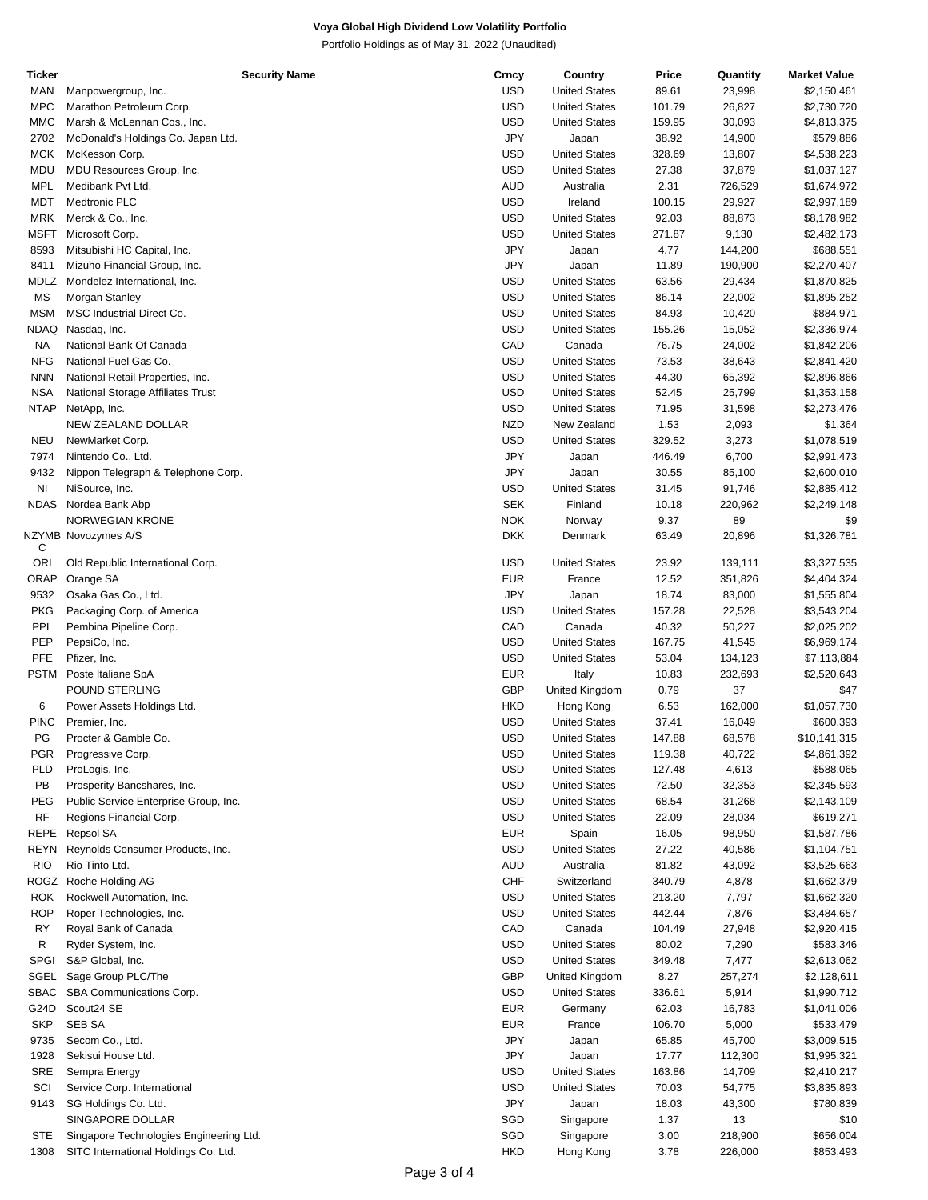Portfolio Holdings as of May 31, 2022 (Unaudited)

| <b>Ticker</b> | <b>Security Name</b>                    | Crncy      | Country              | Price  | Quantity | <b>Market Value</b> |
|---------------|-----------------------------------------|------------|----------------------|--------|----------|---------------------|
| MAN           | Manpowergroup, Inc.                     | <b>USD</b> | <b>United States</b> | 89.61  | 23,998   | \$2,150,461         |
| <b>MPC</b>    | Marathon Petroleum Corp.                | <b>USD</b> | <b>United States</b> | 101.79 | 26,827   | \$2,730,720         |
| <b>MMC</b>    | Marsh & McLennan Cos., Inc.             | <b>USD</b> | <b>United States</b> | 159.95 | 30,093   | \$4,813,375         |
| 2702          | McDonald's Holdings Co. Japan Ltd.      | JPY        | Japan                | 38.92  | 14,900   | \$579,886           |
| <b>MCK</b>    | McKesson Corp.                          | <b>USD</b> | <b>United States</b> | 328.69 | 13,807   | \$4,538,223         |
| <b>MDU</b>    | MDU Resources Group, Inc.               | USD        | <b>United States</b> | 27.38  | 37,879   | \$1,037,127         |
| <b>MPL</b>    | Medibank Pvt Ltd.                       | <b>AUD</b> | Australia            | 2.31   | 726,529  | \$1,674,972         |
| MDT           | Medtronic PLC                           | USD        | Ireland              | 100.15 | 29,927   | \$2,997,189         |
| MRK           | Merck & Co., Inc.                       | <b>USD</b> | <b>United States</b> | 92.03  | 88,873   | \$8,178,982         |
| <b>MSFT</b>   |                                         | USD        | <b>United States</b> | 271.87 |          |                     |
|               | Microsoft Corp.                         |            |                      |        | 9,130    | \$2,482,173         |
| 8593          | Mitsubishi HC Capital, Inc.             | JPY        | Japan                | 4.77   | 144,200  | \$688,551           |
| 8411          | Mizuho Financial Group, Inc.            | JPY        | Japan                | 11.89  | 190,900  | \$2,270,407         |
| MDLZ          | Mondelez International, Inc.            | USD        | <b>United States</b> | 63.56  | 29,434   | \$1,870,825         |
| MS            | Morgan Stanley                          | USD        | <b>United States</b> | 86.14  | 22,002   | \$1,895,252         |
| <b>MSM</b>    | MSC Industrial Direct Co.               | <b>USD</b> | <b>United States</b> | 84.93  | 10,420   | \$884,971           |
| NDAQ          | Nasdaq, Inc.                            | <b>USD</b> | <b>United States</b> | 155.26 | 15,052   | \$2,336,974         |
| NA            | National Bank Of Canada                 | CAD        | Canada               | 76.75  | 24,002   | \$1,842,206         |
| <b>NFG</b>    | National Fuel Gas Co.                   | USD        | <b>United States</b> | 73.53  | 38,643   | \$2,841,420         |
| <b>NNN</b>    | National Retail Properties, Inc.        | <b>USD</b> | <b>United States</b> | 44.30  | 65,392   | \$2,896,866         |
| <b>NSA</b>    | National Storage Affiliates Trust       | <b>USD</b> | <b>United States</b> | 52.45  | 25,799   | \$1,353,158         |
| <b>NTAP</b>   | NetApp, Inc.                            | <b>USD</b> | <b>United States</b> | 71.95  | 31,598   | \$2,273,476         |
|               | NEW ZEALAND DOLLAR                      | <b>NZD</b> | New Zealand          | 1.53   | 2,093    | \$1,364             |
| <b>NEU</b>    | NewMarket Corp.                         | <b>USD</b> | <b>United States</b> | 329.52 | 3,273    | \$1,078,519         |
| 7974          | Nintendo Co., Ltd.                      | JPY        | Japan                | 446.49 | 6,700    | \$2,991,473         |
|               |                                         | JPY        |                      |        |          |                     |
| 9432          | Nippon Telegraph & Telephone Corp.      |            | Japan                | 30.55  | 85,100   | \$2,600,010         |
| NI            | NiSource, Inc.                          | <b>USD</b> | <b>United States</b> | 31.45  | 91,746   | \$2,885,412         |
| <b>NDAS</b>   | Nordea Bank Abp                         | <b>SEK</b> | Finland              | 10.18  | 220,962  | \$2,249,148         |
|               | <b>NORWEGIAN KRONE</b>                  | <b>NOK</b> | Norway               | 9.37   | 89       | \$9                 |
|               | NZYMB Novozymes A/S                     | <b>DKK</b> | Denmark              | 63.49  | 20,896   | \$1,326,781         |
| С             |                                         |            |                      |        |          |                     |
| <b>ORI</b>    | Old Republic International Corp.        | <b>USD</b> | <b>United States</b> | 23.92  | 139,111  | \$3,327,535         |
| ORAP          | Orange SA                               | <b>EUR</b> | France               | 12.52  | 351,826  | \$4,404,324         |
| 9532          | Osaka Gas Co., Ltd.                     | JPY        | Japan                | 18.74  | 83,000   | \$1,555,804         |
| <b>PKG</b>    | Packaging Corp. of America              | <b>USD</b> | <b>United States</b> | 157.28 | 22,528   | \$3,543,204         |
| PPL           | Pembina Pipeline Corp.                  | CAD        | Canada               | 40.32  | 50,227   | \$2,025,202         |
| PEP           | PepsiCo, Inc.                           | <b>USD</b> | <b>United States</b> | 167.75 | 41,545   | \$6,969,174         |
| PFE           | Pfizer, Inc.                            | <b>USD</b> | <b>United States</b> | 53.04  | 134,123  | \$7,113,884         |
| <b>PSTM</b>   | Poste Italiane SpA                      | <b>EUR</b> | Italy                | 10.83  | 232,693  | \$2,520,643         |
|               | POUND STERLING                          | <b>GBP</b> | United Kingdom       | 0.79   | 37       | \$47                |
| 6             | Power Assets Holdings Ltd.              | HKD        | Hong Kong            | 6.53   | 162,000  | \$1,057,730         |
| <b>PINC</b>   | Premier, Inc.                           | USD        | <b>United States</b> | 37.41  | 16,049   | \$600,393           |
| PG            | Procter & Gamble Co.                    | <b>USD</b> | <b>United States</b> | 147.88 | 68,578   | \$10,141,315        |
| PGR           | Progressive Corp.                       | USD        | <b>United States</b> | 119.38 | 40,722   | \$4,861,392         |
| PLD           | ProLogis, Inc.                          | USD        | <b>United States</b> | 127.48 | 4,613    | \$588,065           |
|               |                                         |            |                      |        |          |                     |
| PB            | Prosperity Bancshares, Inc.             | USD        | <b>United States</b> | 72.50  | 32,353   | \$2,345,593         |
| PEG           | Public Service Enterprise Group, Inc.   | USD        | <b>United States</b> | 68.54  | 31,268   | \$2,143,109         |
| <b>RF</b>     | Regions Financial Corp.                 | USD        | <b>United States</b> | 22.09  | 28,034   | \$619,271           |
| <b>REPE</b>   | Repsol SA                               | <b>EUR</b> | Spain                | 16.05  | 98,950   | \$1,587,786         |
| REYN          | Reynolds Consumer Products, Inc.        | <b>USD</b> | <b>United States</b> | 27.22  | 40,586   | \$1,104,751         |
| <b>RIO</b>    | Rio Tinto Ltd.                          | AUD        | Australia            | 81.82  | 43,092   | \$3,525,663         |
| ROGZ          | Roche Holding AG                        | CHF        | Switzerland          | 340.79 | 4,878    | \$1,662,379         |
| <b>ROK</b>    | Rockwell Automation, Inc.               | USD        | <b>United States</b> | 213.20 | 7,797    | \$1,662,320         |
| <b>ROP</b>    | Roper Technologies, Inc.                | USD        | <b>United States</b> | 442.44 | 7,876    | \$3,484,657         |
| <b>RY</b>     | Royal Bank of Canada                    | CAD        | Canada               | 104.49 | 27,948   | \$2,920,415         |
| R             | Ryder System, Inc.                      | USD        | <b>United States</b> | 80.02  | 7,290    | \$583,346           |
| <b>SPGI</b>   | S&P Global, Inc.                        | USD        | <b>United States</b> | 349.48 | 7,477    | \$2,613,062         |
| SGEL          | Sage Group PLC/The                      | <b>GBP</b> | United Kingdom       | 8.27   | 257,274  | \$2,128,611         |
| <b>SBAC</b>   | SBA Communications Corp.                | USD        | <b>United States</b> | 336.61 | 5,914    | \$1,990,712         |
|               |                                         |            |                      |        |          |                     |
| G24D          | Scout24 SE                              | <b>EUR</b> | Germany              | 62.03  | 16,783   | \$1,041,006         |
| <b>SKP</b>    | <b>SEB SA</b>                           | <b>EUR</b> | France               | 106.70 | 5,000    | \$533,479           |
| 9735          | Secom Co., Ltd.                         | JPY        | Japan                | 65.85  | 45,700   | \$3,009,515         |
| 1928          | Sekisui House Ltd.                      | JPY        | Japan                | 17.77  | 112,300  | \$1,995,321         |
| <b>SRE</b>    | Sempra Energy                           | USD        | <b>United States</b> | 163.86 | 14,709   | \$2,410,217         |
| SCI           | Service Corp. International             | USD        | <b>United States</b> | 70.03  | 54,775   | \$3,835,893         |
| 9143          | SG Holdings Co. Ltd.                    | JPY        | Japan                | 18.03  | 43,300   | \$780,839           |
|               | SINGAPORE DOLLAR                        | SGD        | Singapore            | 1.37   | 13       | \$10                |
| <b>STE</b>    | Singapore Technologies Engineering Ltd. | SGD        | Singapore            | 3.00   | 218,900  | \$656,004           |
| 1308          | SITC International Holdings Co. Ltd.    | <b>HKD</b> | Hong Kong            | 3.78   | 226,000  | \$853,493           |